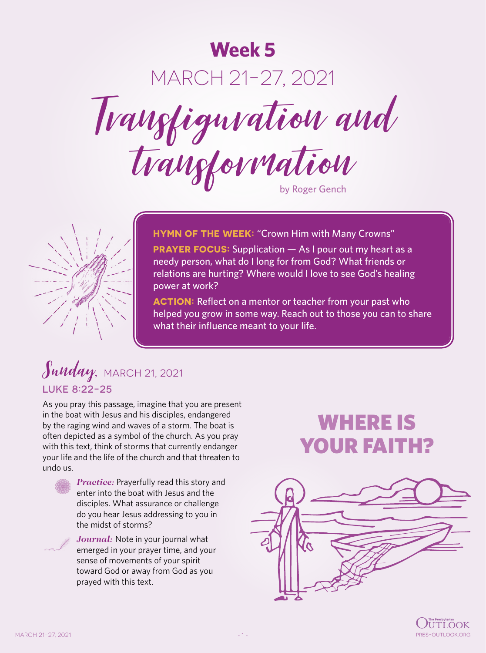# **Week 5** MARCH 21-27, 2021 Transfiguration and trangformation



**HYMN OF THE WEEK: "Crown Him with Many Crowns"** 

**PRAYER FOCUS:** Supplication – As I pour out my heart as a needy person, what do I long for from God? What friends or relations are hurting? Where would I love to see God's healing power at work?

**ACTION:** Reflect on a mentor or teacher from your past who helped you grow in some way. Reach out to those you can to share what their influence meant to your life.

#### Sunday, MARCH 21, 2021 LUKE 8:22-25

As you pray this passage, imagine that you are present in the boat with Jesus and his disciples, endangered by the raging wind and waves of a storm. The boat is often depicted as a symbol of the church. As you pray with this text, think of storms that currently endanger your life and the life of the church and that threaten to undo us.



*Practice:* Prayerfully read this story and enter into the boat with Jesus and the disciples. What assurance or challenge do you hear Jesus addressing to you in the midst of storms?



*Journal:* Note in your journal what emerged in your prayer time, and your sense of movements of your spirit toward God or away from God as you prayed with this text.

# WHERE IS YOUR FAITH?



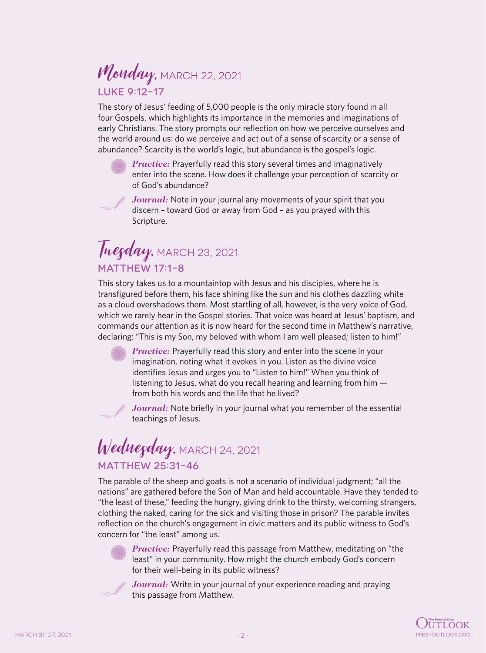### Monday, MARCH 22, 2021 LUKE 9:12-17

The story of Jesus' feeding of 5,000 people is the only miracle story found in all four Gospels, which highlights its importance in the memories and imaginations of early Christians. The story prompts our reflection on how we perceive ourselves and the world around us: do we perceive and act out of a sense of scarcity or a sense of abundance? Scarcity is the world's logic, but abundance is the gospel's logic.

*Practice:* Prayerfully read this story several times and imaginatively enter into the scene. How does it challenge your perception of scarcity or of God's abundance?



*Journal:* Note in your journal any movements of your spirit that you discern – toward God or away from God – as you prayed with this Scripture.

#### Tuegday, MARCH 23, 2021 MATTHEW 17:1-8

This story takes us to a mountaintop with Jesus and his disciples, where he is transfigured before them, his face shining like the sun and his clothes dazzling white as a cloud overshadows them. Most startling of all, however, is the very voice of God, which we rarely hear in the Gospel stories. That voice was heard at Jesus' baptism, and commands our attention as it is now heard for the second time in Matthew's narrative, declaring: "This is my Son, my beloved with whom I am well pleased; listen to him!"

*Practice:* Prayerfully read this story and enter into the scene in your imagination, noting what it evokes in you. Listen as the divine voice identifies Jesus and urges you to "Listen to him!" When you think of listening to Jesus, what do you recall hearing and learning from him from both his words and the life that he lived?



Journal: Note briefly in your journal what you remember of the essential teachings of Jesus.

# Wednegday, MARCH 24, 2021 MATTHEW 25:31-46

The parable of the sheep and goats is not a scenario of individual judgment; "all the nations" are gathered before the Son of Man and held accountable. Have they tended to "the least of these," feeding the hungry, giving drink to the thirsty, welcoming strangers, clothing the naked, caring for the sick and visiting those in prison? The parable invites reflection on the church's engagement in civic matters and its public witness to God's concern for "the least" among us.



*Practice:* Prayerfully read this passage from Matthew, meditating on "the least" in your community. How might the church embody God's concern for their well-being in its public witness?



Journal: Write in your journal of your experience reading and praying this passage from Matthew.